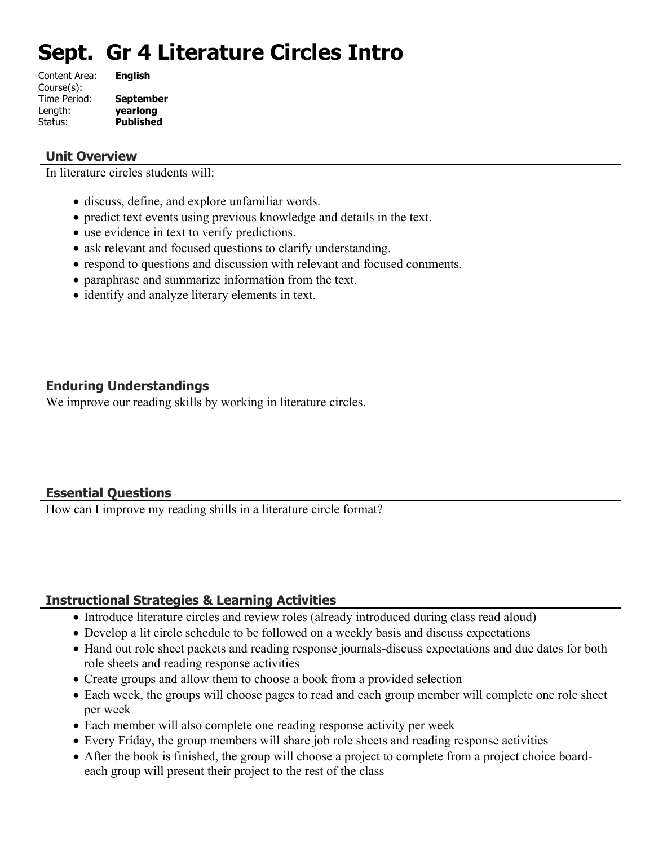# **Sept. Gr 4 Literature Circles Intro**

| Content Area: | <b>English</b>   |
|---------------|------------------|
| Course(s):    |                  |
| Time Period:  | <b>September</b> |
| Length:       | yearlong         |
| Status:       | <b>Published</b> |
|               |                  |

#### **Unit Overview**

In literature circles students will:

- discuss, define, and explore unfamiliar words.
- predict text events using previous knowledge and details in the text.
- use evidence in text to verify predictions.
- ask relevant and focused questions to clarify understanding.
- respond to questions and discussion with relevant and focused comments.
- paraphrase and summarize information from the text.
- identify and analyze literary elements in text.

## **Enduring Understandings**

We improve our reading skills by working in literature circles.

## **Essential Questions**

How can I improve my reading shills in a literature circle format?

## **Instructional Strategies & Learning Activities**

- Introduce literature circles and review roles (already introduced during class read aloud)
- Develop a lit circle schedule to be followed on a weekly basis and discuss expectations
- Hand out role sheet packets and reading response journals-discuss expectations and due dates for both role sheets and reading response activities
- Create groups and allow them to choose a book from a provided selection
- Each week, the groups will choose pages to read and each group member will complete one role sheet per week
- Each member will also complete one reading response activity per week
- Every Friday, the group members will share job role sheets and reading response activities
- After the book is finished, the group will choose a project to complete from a project choice boardeach group will present their project to the rest of the class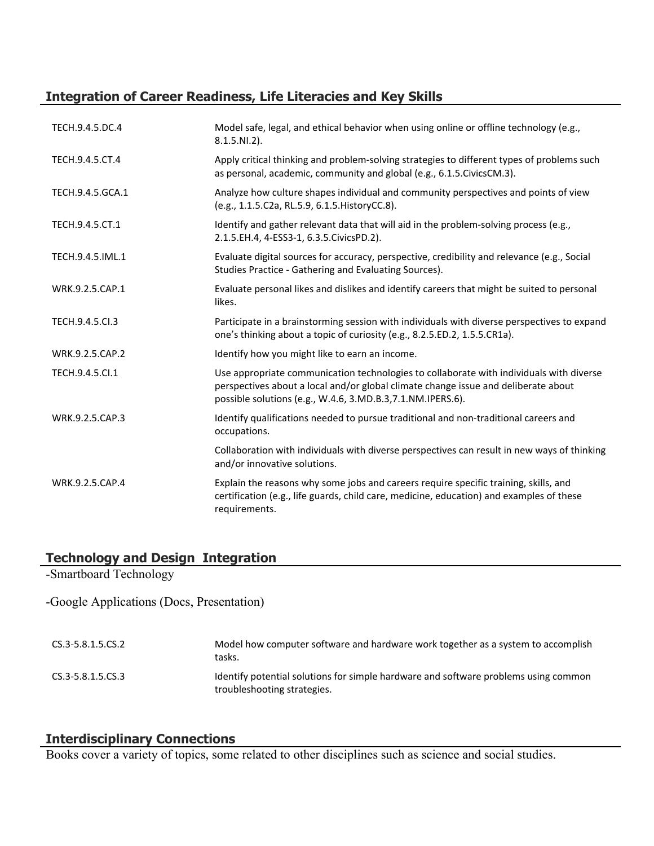## **Integration of Career Readiness, Life Literacies and Key Skills**

| TECH.9.4.5.DC.4  | Model safe, legal, and ethical behavior when using online or offline technology (e.g.,<br>$8.1.5.NI.2$ ).                                                                                                                                    |
|------------------|----------------------------------------------------------------------------------------------------------------------------------------------------------------------------------------------------------------------------------------------|
| TECH.9.4.5.CT.4  | Apply critical thinking and problem-solving strategies to different types of problems such<br>as personal, academic, community and global (e.g., 6.1.5. Civics CM.3).                                                                        |
| TECH.9.4.5.GCA.1 | Analyze how culture shapes individual and community perspectives and points of view<br>(e.g., 1.1.5.C2a, RL.5.9, 6.1.5. HistoryCC.8).                                                                                                        |
| TECH.9.4.5.CT.1  | Identify and gather relevant data that will aid in the problem-solving process (e.g.,<br>2.1.5.EH.4, 4-ESS3-1, 6.3.5.CivicsPD.2).                                                                                                            |
| TECH.9.4.5.IML.1 | Evaluate digital sources for accuracy, perspective, credibility and relevance (e.g., Social<br>Studies Practice - Gathering and Evaluating Sources).                                                                                         |
| WRK.9.2.5.CAP.1  | Evaluate personal likes and dislikes and identify careers that might be suited to personal<br>likes.                                                                                                                                         |
| TECH.9.4.5.Cl.3  | Participate in a brainstorming session with individuals with diverse perspectives to expand<br>one's thinking about a topic of curiosity (e.g., 8.2.5.ED.2, 1.5.5.CR1a).                                                                     |
| WRK.9.2.5.CAP.2  | Identify how you might like to earn an income.                                                                                                                                                                                               |
| TECH.9.4.5.Cl.1  | Use appropriate communication technologies to collaborate with individuals with diverse<br>perspectives about a local and/or global climate change issue and deliberate about<br>possible solutions (e.g., W.4.6, 3.MD.B.3, 7.1.NM.IPERS.6). |
| WRK.9.2.5.CAP.3  | Identify qualifications needed to pursue traditional and non-traditional careers and<br>occupations.                                                                                                                                         |
|                  | Collaboration with individuals with diverse perspectives can result in new ways of thinking<br>and/or innovative solutions.                                                                                                                  |
| WRK.9.2.5.CAP.4  | Explain the reasons why some jobs and careers require specific training, skills, and<br>certification (e.g., life guards, child care, medicine, education) and examples of these<br>requirements.                                            |

## **Technology and Design Integration**

-Smartboard Technology

-Google Applications (Docs, Presentation)

| CS.3-5.8.1.5.CS.2     | Model how computer software and hardware work together as a system to accomplish<br>tasks.                         |
|-----------------------|--------------------------------------------------------------------------------------------------------------------|
| $CS.3 - 5.8.1.5.CS.3$ | Identify potential solutions for simple hardware and software problems using common<br>troubleshooting strategies. |

## **Interdisciplinary Connections**

Books cover a variety of topics, some related to other disciplines such as science and social studies.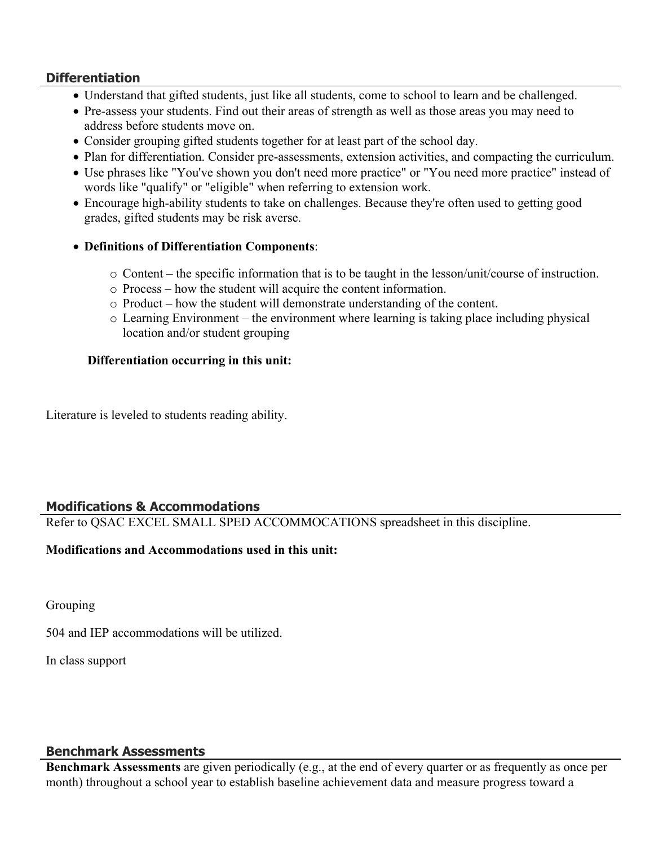#### **Differentiation**

- Understand that gifted students, just like all students, come to school to learn and be challenged.
- Pre-assess your students. Find out their areas of strength as well as those areas you may need to address before students move on.
- Consider grouping gifted students together for at least part of the school day.
- Plan for differentiation. Consider pre-assessments, extension activities, and compacting the curriculum.
- Use phrases like "You've shown you don't need more practice" or "You need more practice" instead of words like "qualify" or "eligible" when referring to extension work.
- Encourage high-ability students to take on challenges. Because they're often used to getting good grades, gifted students may be risk averse.
- **Definitions of Differentiation Components**:
	- o Content the specific information that is to be taught in the lesson/unit/course of instruction.
	- o Process how the student will acquire the content information.
	- o Product how the student will demonstrate understanding of the content.
	- o Learning Environment the environment where learning is taking place including physical location and/or student grouping

#### **Differentiation occurring in this unit:**

Literature is leveled to students reading ability.

## **Modifications & Accommodations**

Refer to QSAC EXCEL SMALL SPED ACCOMMOCATIONS spreadsheet in this discipline.

#### **Modifications and Accommodations used in this unit:**

Grouping

504 and IEP accommodations will be utilized.

In class support

#### **Benchmark Assessments**

**Benchmark Assessments** are given periodically (e.g., at the end of every quarter or as frequently as once per month) throughout a school year to establish baseline achievement data and measure progress toward a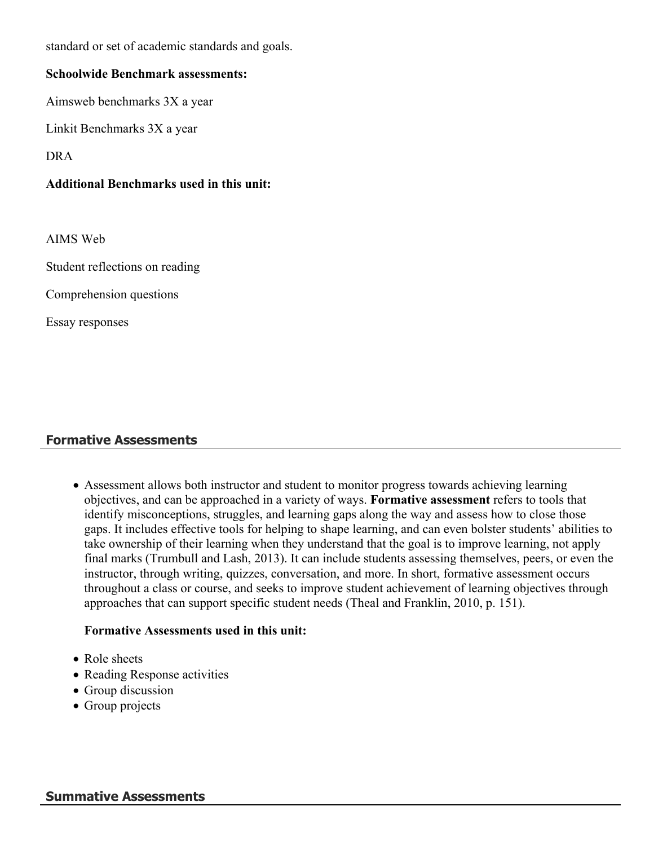standard or set of academic standards and goals.

#### **Schoolwide Benchmark assessments:**

Aimsweb benchmarks 3X a year

Linkit Benchmarks 3X a year

DRA

#### **Additional Benchmarks used in this unit:**

AIMS Web

Student reflections on reading

Comprehension questions

Essay responses

## **Formative Assessments**

 Assessment allows both instructor and student to monitor progress towards achieving learning objectives, and can be approached in a variety of ways. **Formative assessment** refers to tools that identify misconceptions, struggles, and learning gaps along the way and assess how to close those gaps. It includes effective tools for helping to shape learning, and can even bolster students' abilities to take ownership of their learning when they understand that the goal is to improve learning, not apply final marks (Trumbull and Lash, 2013). It can include students assessing themselves, peers, or even the instructor, through writing, quizzes, conversation, and more. In short, formative assessment occurs throughout a class or course, and seeks to improve student achievement of learning objectives through approaches that can support specific student needs (Theal and Franklin, 2010, p. 151).

#### **Formative Assessments used in this unit:**

- Role sheets
- Reading Response activities
- Group discussion
- Group projects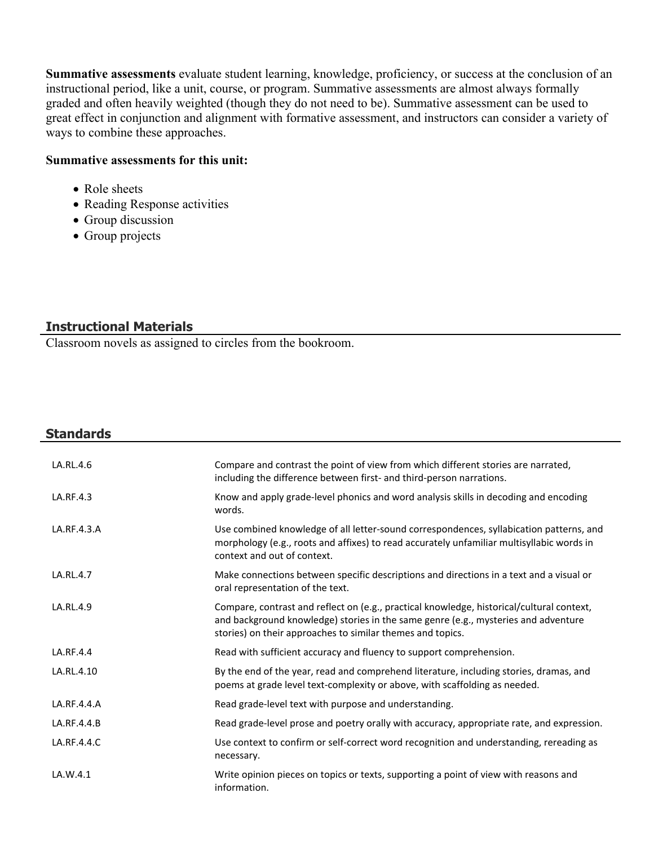**Summative assessments** evaluate student learning, knowledge, proficiency, or success at the conclusion of an instructional period, like a unit, course, or program. Summative assessments are almost always formally graded and often heavily weighted (though they do not need to be). Summative assessment can be used to great effect in conjunction and alignment with formative assessment, and instructors can consider a variety of ways to combine these approaches.

#### **Summative assessments for this unit:**

- Role sheets
- Reading Response activities
- Group discussion
- Group projects

#### **Instructional Materials**

Classroom novels as assigned to circles from the bookroom.

| <b>Standards</b> |                                                                                                                                                                                                                                               |
|------------------|-----------------------------------------------------------------------------------------------------------------------------------------------------------------------------------------------------------------------------------------------|
| LA.RL.4.6        | Compare and contrast the point of view from which different stories are narrated,<br>including the difference between first- and third-person narrations.                                                                                     |
| LA.RF.4.3        | Know and apply grade-level phonics and word analysis skills in decoding and encoding<br>words.                                                                                                                                                |
| LA.RF.4.3.A      | Use combined knowledge of all letter-sound correspondences, syllabication patterns, and<br>morphology (e.g., roots and affixes) to read accurately unfamiliar multisyllabic words in<br>context and out of context.                           |
| LA.RL.4.7        | Make connections between specific descriptions and directions in a text and a visual or<br>oral representation of the text.                                                                                                                   |
| LA.RL.4.9        | Compare, contrast and reflect on (e.g., practical knowledge, historical/cultural context,<br>and background knowledge) stories in the same genre (e.g., mysteries and adventure<br>stories) on their approaches to similar themes and topics. |
| LA.RF.4.4        | Read with sufficient accuracy and fluency to support comprehension.                                                                                                                                                                           |
| LA.RL.4.10       | By the end of the year, read and comprehend literature, including stories, dramas, and<br>poems at grade level text-complexity or above, with scaffolding as needed.                                                                          |
| LA.RF.4.4.A      | Read grade-level text with purpose and understanding.                                                                                                                                                                                         |
| LA.RF.4.4.B      | Read grade-level prose and poetry orally with accuracy, appropriate rate, and expression.                                                                                                                                                     |
| LA.RF.4.4.C      | Use context to confirm or self-correct word recognition and understanding, rereading as<br>necessary.                                                                                                                                         |
| LA.W.4.1         | Write opinion pieces on topics or texts, supporting a point of view with reasons and<br>information.                                                                                                                                          |